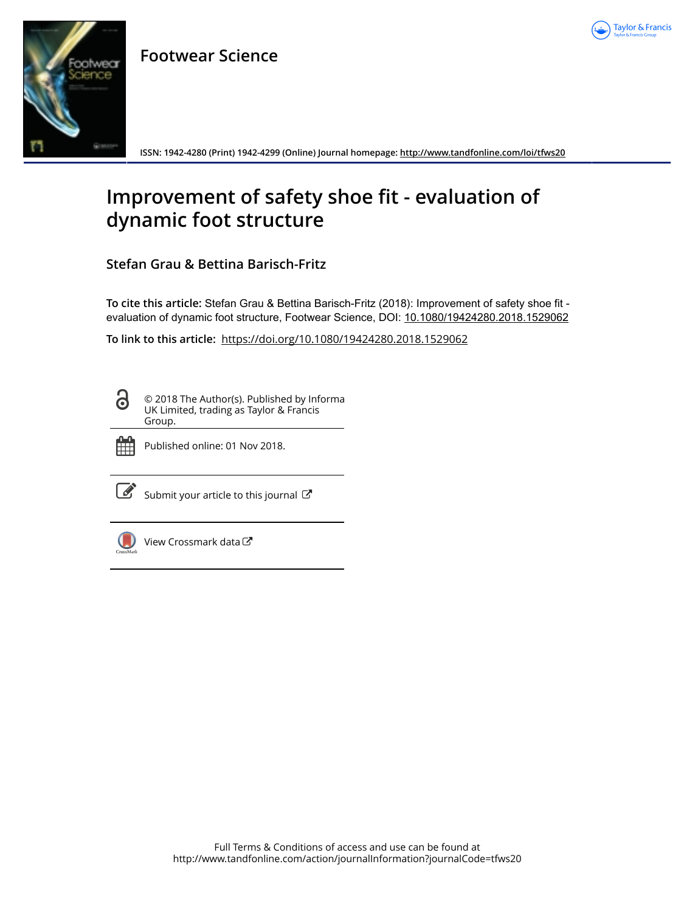

## **Footwear Science**



**ISSN: 1942-4280 (Print) 1942-4299 (Online) Journal homepage:<http://www.tandfonline.com/loi/tfws20>**

# **Improvement of safety shoe fit - evaluation of dynamic foot structure**

**Stefan Grau & Bettina Barisch-Fritz**

**To cite this article:** Stefan Grau & Bettina Barisch-Fritz (2018): Improvement of safety shoe fit evaluation of dynamic foot structure, Footwear Science, DOI: [10.1080/19424280.2018.1529062](http://www.tandfonline.com/action/showCitFormats?doi=10.1080/19424280.2018.1529062)

**To link to this article:** <https://doi.org/10.1080/19424280.2018.1529062>

© 2018 The Author(s). Published by Informa UK Limited, trading as Taylor & Francis Group.



6

Published online: 01 Nov 2018.



 $\overrightarrow{S}$  [Submit your article to this journal](http://www.tandfonline.com/action/authorSubmission?journalCode=tfws20&show=instructions)  $\overrightarrow{S}$ 



[View Crossmark data](http://crossmark.crossref.org/dialog/?doi=10.1080/19424280.2018.1529062&domain=pdf&date_stamp=2018-11-01)<sup>C</sup>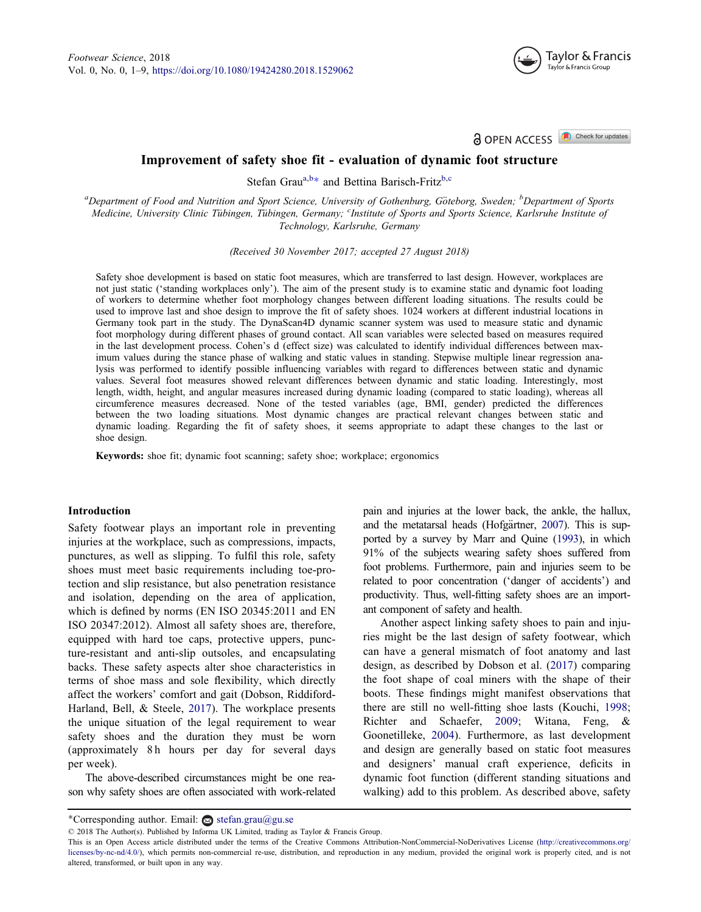

**a** OPEN ACCESS **D** Check for updates

## <span id="page-1-0"></span>Improvement of safety shoe fit - evaluation of dynamic foot structure

Stefan Grau<sup>a,b\*</sup> and Bettina Barisch-Fritz<sup>b,c</sup>

<sup>a</sup>Department of Food and Nutrition and Sport Science, University of Gothenburg, Göteborg, Sweden; <sup>b</sup>Department of Sports Medicine, University Clinic Tübingen, Tübingen, Germany; <sup>c</sup>Institute of Sports and Sports Science, Karlsruhe Institute of Technology, Karlsruhe, Germany

(Received 30 November 2017; accepted 27 August 2018)

Safety shoe development is based on static foot measures, which are transferred to last design. However, workplaces are not just static ('standing workplaces only'). The aim of the present study is to examine static and dynamic foot loading of workers to determine whether foot morphology changes between different loading situations. The results could be used to improve last and shoe design to improve the fit of safety shoes. 1024 workers at different industrial locations in Germany took part in the study. The DynaScan4D dynamic scanner system was used to measure static and dynamic foot morphology during different phases of ground contact. All scan variables were selected based on measures required in the last development process. Cohen's d (effect size) was calculated to identify individual differences between maximum values during the stance phase of walking and static values in standing. Stepwise multiple linear regression analysis was performed to identify possible influencing variables with regard to differences between static and dynamic values. Several foot measures showed relevant differences between dynamic and static loading. Interestingly, most length, width, height, and angular measures increased during dynamic loading (compared to static loading), whereas all circumference measures decreased. None of the tested variables (age, BMI, gender) predicted the differences between the two loading situations. Most dynamic changes are practical relevant changes between static and dynamic loading. Regarding the fit of safety shoes, it seems appropriate to adapt these changes to the last or shoe design.

Keywords: shoe fit; dynamic foot scanning; safety shoe; workplace; ergonomics

#### Introduction

Safety footwear plays an important role in preventing injuries at the workplace, such as compressions, impacts, punctures, as well as slipping. To fulfil this role, safety shoes must meet basic requirements including toe-protection and slip resistance, but also penetration resistance and isolation, depending on the area of application, which is defined by norms (EN ISO 20345:2011 and EN ISO 20347:2012). Almost all safety shoes are, therefore, equipped with hard toe caps, protective uppers, puncture-resistant and anti-slip outsoles, and encapsulating backs. These safety aspects alter shoe characteristics in terms of shoe mass and sole flexibility, which directly affect the workers' comfort and gait (Dobson, Riddiford-Harland, Bell, & Steele, [2017\)](#page-8-0). The workplace presents the unique situation of the legal requirement to wear safety shoes and the duration they must be worn (approximately 8 h hours per day for several days per week).

The above-described circumstances might be one reason why safety shoes are often associated with work-related pain and injuries at the lower back, the ankle, the hallux, and the metatarsal heads (Hofgärtner, [2007](#page-8-0)). This is supported by a survey by Marr and Quine [\(1993](#page-8-0)), in which 91% of the subjects wearing safety shoes suffered from foot problems. Furthermore, pain and injuries seem to be related to poor concentration ('danger of accidents') and productivity. Thus, well-fitting safety shoes are an important component of safety and health.

Another aspect linking safety shoes to pain and injuries might be the last design of safety footwear, which can have a general mismatch of foot anatomy and last design, as described by Dobson et al. ([2017\)](#page-8-0) comparing the foot shape of coal miners with the shape of their boots. These findings might manifest observations that there are still no well-fitting shoe lasts (Kouchi, [1998;](#page-8-0) Richter and Schaefer, [2009;](#page-8-0) Witana, Feng, & Goonetilleke, [2004](#page-8-0)). Furthermore, as last development and design are generally based on static foot measures and designers' manual craft experience, deficits in dynamic foot function (different standing situations and walking) add to this problem. As described above, safety

<sup>\*</sup>Corresponding author. Email:  $\bigotimes$  stefan.grau@gu.se

2018 The Author(s). Published by Informa UK Limited, trading as Taylor & Francis Group.

This is an Open Access article distributed under the terms of the Creative Commons Attribution-NonCommercial-NoDerivatives License [\(http://creativecommons.org/](http://creativecommons.org/licenses/by-nc-nd/4.0/) [licenses/by-nc-nd/4.0/](http://creativecommons.org/licenses/by-nc-nd/4.0/)), which permits non-commercial re-use, distribution, and reproduction in any medium, provided the original work is properly cited, and is not altered, transformed, or built upon in any way.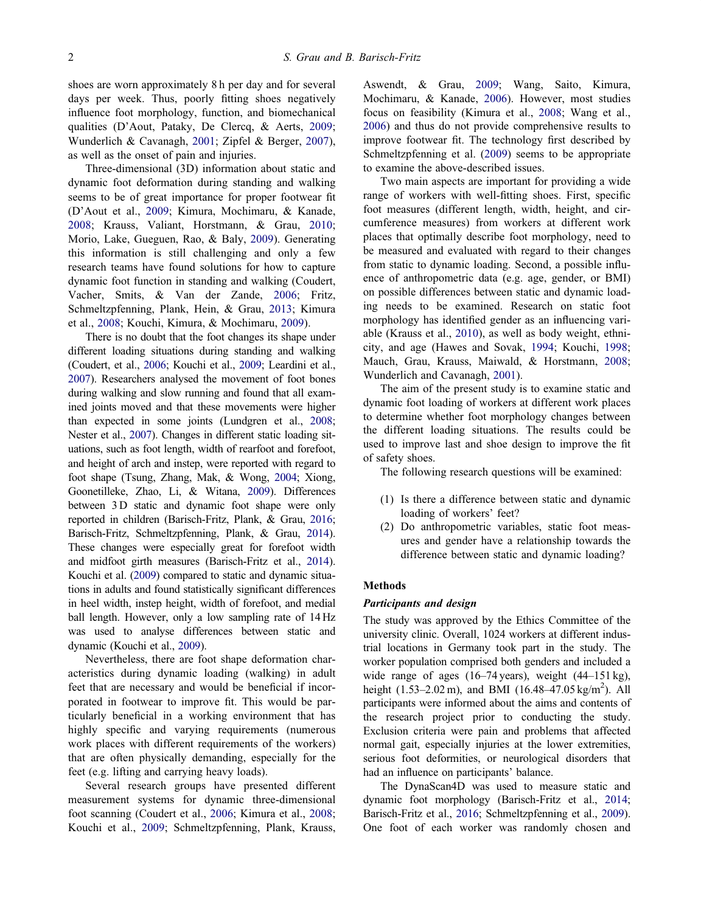<span id="page-2-0"></span>shoes are worn approximately 8 h per day and for several days per week. Thus, poorly fitting shoes negatively influence foot morphology, function, and biomechanical qualities (D'Aout, Pataky, De Clercq, & Aerts, [2009](#page-8-0); Wunderlich & Cavanagh, [2001](#page-9-0); Zipfel & Berger, [2007](#page-9-0)), as well as the onset of pain and injuries.

Three-dimensional (3D) information about static and dynamic foot deformation during standing and walking seems to be of great importance for proper footwear fit (D'Aout et al., [2009;](#page-8-0) Kimura, Mochimaru, & Kanade, [2008](#page-8-0); Krauss, Valiant, Horstmann, & Grau, [2010](#page-8-0); Morio, Lake, Gueguen, Rao, & Baly, [2009\)](#page-8-0). Generating this information is still challenging and only a few research teams have found solutions for how to capture dynamic foot function in standing and walking (Coudert, Vacher, Smits, & Van der Zande, [2006](#page-8-0); Fritz, Schmeltzpfenning, Plank, Hein, & Grau, [2013](#page-8-0); Kimura et al., [2008;](#page-8-0) Kouchi, Kimura, & Mochimaru, [2009](#page-8-0)).

There is no doubt that the foot changes its shape under different loading situations during standing and walking (Coudert, et al., [2006](#page-8-0); Kouchi et al., [2009](#page-8-0); Leardini et al., [2007\)](#page-8-0). Researchers analysed the movement of foot bones during walking and slow running and found that all examined joints moved and that these movements were higher than expected in some joints (Lundgren et al., [2008](#page-8-0); Nester et al., [2007\)](#page-8-0). Changes in different static loading situations, such as foot length, width of rearfoot and forefoot, and height of arch and instep, were reported with regard to foot shape (Tsung, Zhang, Mak, & Wong, [2004](#page-8-0); Xiong, Goonetilleke, Zhao, Li, & Witana, [2009\)](#page-9-0). Differences between 3 D static and dynamic foot shape were only reported in children (Barisch-Fritz, Plank, & Grau, [2016](#page-7-0); Barisch-Fritz, Schmeltzpfenning, Plank, & Grau, [2014](#page-7-0)). These changes were especially great for forefoot width and midfoot girth measures (Barisch-Fritz et al., [2014](#page-7-0)). Kouchi et al. [\(2009\)](#page-8-0) compared to static and dynamic situations in adults and found statistically significant differences in heel width, instep height, width of forefoot, and medial ball length. However, only a low sampling rate of 14 Hz was used to analyse differences between static and dynamic (Kouchi et al., [2009](#page-8-0)).

Nevertheless, there are foot shape deformation characteristics during dynamic loading (walking) in adult feet that are necessary and would be beneficial if incorporated in footwear to improve fit. This would be particularly beneficial in a working environment that has highly specific and varying requirements (numerous work places with different requirements of the workers) that are often physically demanding, especially for the feet (e.g. lifting and carrying heavy loads).

Several research groups have presented different measurement systems for dynamic three-dimensional foot scanning (Coudert et al., [2006;](#page-8-0) Kimura et al., [2008](#page-8-0); Kouchi et al., [2009](#page-8-0); Schmeltzpfenning, Plank, Krauss,

Aswendt, & Grau, [2009;](#page-8-0) Wang, Saito, Kimura, Mochimaru, & Kanade, [2006\)](#page-8-0). However, most studies focus on feasibility (Kimura et al., [2008](#page-8-0); Wang et al., [2006\)](#page-8-0) and thus do not provide comprehensive results to improve footwear fit. The technology first described by Schmeltzpfenning et al. [\(2009](#page-8-0)) seems to be appropriate to examine the above-described issues.

Two main aspects are important for providing a wide range of workers with well-fitting shoes. First, specific foot measures (different length, width, height, and circumference measures) from workers at different work places that optimally describe foot morphology, need to be measured and evaluated with regard to their changes from static to dynamic loading. Second, a possible influence of anthropometric data (e.g. age, gender, or BMI) on possible differences between static and dynamic loading needs to be examined. Research on static foot morphology has identified gender as an influencing variable (Krauss et al., [2010](#page-8-0)), as well as body weight, ethnicity, and age (Hawes and Sovak, [1994;](#page-8-0) Kouchi, [1998;](#page-8-0) Mauch, Grau, Krauss, Maiwald, & Horstmann, [2008;](#page-8-0) Wunderlich and Cavanagh, [2001\)](#page-9-0).

The aim of the present study is to examine static and dynamic foot loading of workers at different work places to determine whether foot morphology changes between the different loading situations. The results could be used to improve last and shoe design to improve the fit of safety shoes.

The following research questions will be examined:

- (1) Is there a difference between static and dynamic loading of workers' feet?
- (2) Do anthropometric variables, static foot measures and gender have a relationship towards the difference between static and dynamic loading?

#### Methods

#### Participants and design

The study was approved by the Ethics Committee of the university clinic. Overall, 1024 workers at different industrial locations in Germany took part in the study. The worker population comprised both genders and included a wide range of ages (16–74 years), weight (44–151 kg), height  $(1.53-2.02 \text{ m})$ , and BMI  $(16.48-47.05 \text{ kg/m}^2)$ . All participants were informed about the aims and contents of the research project prior to conducting the study. Exclusion criteria were pain and problems that affected normal gait, especially injuries at the lower extremities, serious foot deformities, or neurological disorders that had an influence on participants' balance.

The DynaScan4D was used to measure static and dynamic foot morphology (Barisch-Fritz et al., [2014;](#page-7-0) Barisch-Fritz et al., [2016](#page-7-0); Schmeltzpfenning et al., [2009\)](#page-8-0). One foot of each worker was randomly chosen and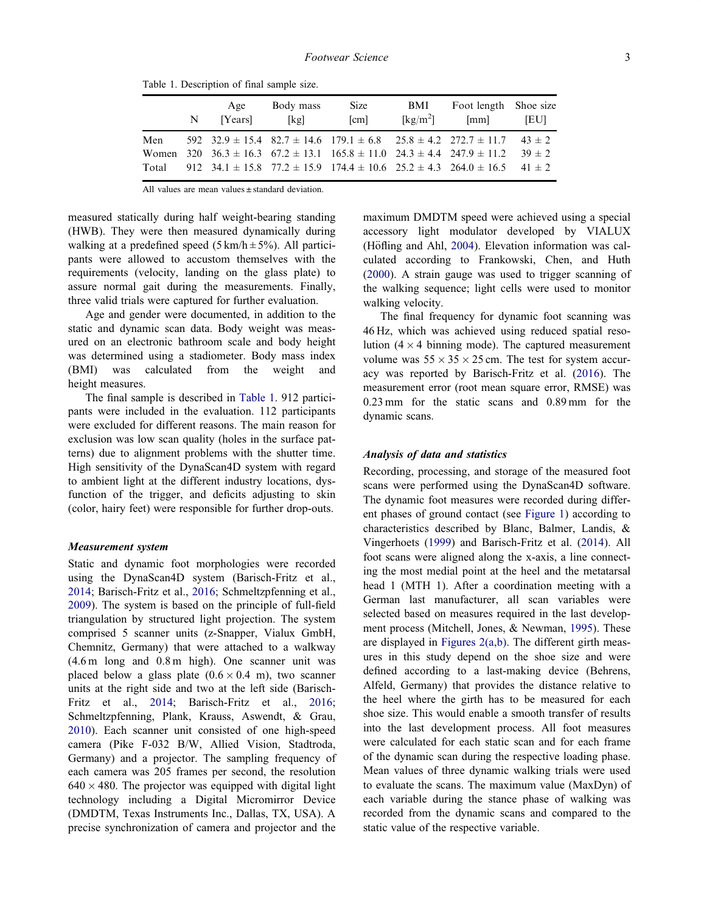|       | N | Age<br>[Years] | Body mass<br>$\lfloor \log \rfloor$ | <b>Size</b><br>[cm] | BMI<br>$\left[\mathrm{kg/m}^2\right]$ | Foot length Shoe size<br>[mm]                                                              | <b>IEU</b> |
|-------|---|----------------|-------------------------------------|---------------------|---------------------------------------|--------------------------------------------------------------------------------------------|------------|
| Men   |   |                |                                     |                     |                                       | 592 32.9 ± 15.4 82.7 ± 14.6 179.1 ± 6.8 25.8 ± 4.2 272.7 ± 11.7 43 ± 2                     |            |
|       |   |                |                                     |                     |                                       | Women 320 $36.3 \pm 16.3$ $67.2 \pm 13.1$ $165.8 \pm 11.0$ $24.3 \pm 4.4$ $247.9 \pm 11.2$ | $39 + 2$   |
| Total |   |                |                                     |                     |                                       | 912 34.1 ± 15.8 77.2 ± 15.9 174.4 ± 10.6 25.2 ± 4.3 264.0 ± 16.5 41 ± 2                    |            |

<span id="page-3-0"></span>Table 1. Description of final sample size.

All values are mean values  $\pm$  standard deviation.

measured statically during half weight-bearing standing (HWB). They were then measured dynamically during walking at a predefined speed (5 km/h  $\pm$  5%). All participants were allowed to accustom themselves with the requirements (velocity, landing on the glass plate) to assure normal gait during the measurements. Finally, three valid trials were captured for further evaluation.

Age and gender were documented, in addition to the static and dynamic scan data. Body weight was measured on an electronic bathroom scale and body height was determined using a stadiometer. Body mass index (BMI) was calculated from the weight and height measures.

The final sample is described in Table 1. 912 participants were included in the evaluation. 112 participants were excluded for different reasons. The main reason for exclusion was low scan quality (holes in the surface patterns) due to alignment problems with the shutter time. High sensitivity of the DynaScan4D system with regard to ambient light at the different industry locations, dysfunction of the trigger, and deficits adjusting to skin (color, hairy feet) were responsible for further drop-outs.

#### Measurement system

Static and dynamic foot morphologies were recorded using the DynaScan4D system (Barisch-Fritz et al., [2014](#page-7-0); Barisch-Fritz et al., [2016](#page-7-0); Schmeltzpfenning et al., [2009](#page-8-0)). The system is based on the principle of full-field triangulation by structured light projection. The system comprised 5 scanner units (z-Snapper, Vialux GmbH, Chemnitz, Germany) that were attached to a walkway (4.6 m long and 0.8 m high). One scanner unit was placed below a glass plate  $(0.6 \times 0.4 \text{ m})$ , two scanner units at the right side and two at the left side (Barisch-Fritz et al., [2014](#page-7-0); Barisch-Fritz et al., [2016](#page-7-0); Schmeltzpfenning, Plank, Krauss, Aswendt, & Grau, [2010](#page-8-0)). Each scanner unit consisted of one high-speed camera (Pike F-032 B/W, Allied Vision, Stadtroda, Germany) and a projector. The sampling frequency of each camera was 205 frames per second, the resolution  $640 \times 480$ . The projector was equipped with digital light technology including a Digital Micromirror Device (DMDTM, Texas Instruments Inc., Dallas, TX, USA). A precise synchronization of camera and projector and the

maximum DMDTM speed were achieved using a special accessory light modulator developed by VIALUX (Höfling and Ahl, [2004](#page-8-0)). Elevation information was calculated according to Frankowski, Chen, and Huth [\(2000](#page-8-0)). A strain gauge was used to trigger scanning of the walking sequence; light cells were used to monitor walking velocity.

The final frequency for dynamic foot scanning was 46 Hz, which was achieved using reduced spatial resolution  $(4 \times 4)$  binning mode). The captured measurement volume was  $55 \times 35 \times 25$  cm. The test for system accuracy was reported by Barisch-Fritz et al. [\(2016](#page-7-0)). The measurement error (root mean square error, RMSE) was 0.23 mm for the static scans and 0.89 mm for the dynamic scans.

#### Analysis of data and statistics

Recording, processing, and storage of the measured foot scans were performed using the DynaScan4D software. The dynamic foot measures were recorded during different phases of ground contact (see [Figure 1](#page-4-0)) according to characteristics described by Blanc, Balmer, Landis, & Vingerhoets [\(1999](#page-7-0)) and Barisch-Fritz et al. [\(2014](#page-7-0)). All foot scans were aligned along the x-axis, a line connecting the most medial point at the heel and the metatarsal head 1 (MTH 1). After a coordination meeting with a German last manufacturer, all scan variables were selected based on measures required in the last development process (Mitchell, Jones, & Newman, [1995\)](#page-8-0). These are displayed in Figures  $2(a,b)$ . The different girth measures in this study depend on the shoe size and were defined according to a last-making device (Behrens, Alfeld, Germany) that provides the distance relative to the heel where the girth has to be measured for each shoe size. This would enable a smooth transfer of results into the last development process. All foot measures were calculated for each static scan and for each frame of the dynamic scan during the respective loading phase. Mean values of three dynamic walking trials were used to evaluate the scans. The maximum value (MaxDyn) of each variable during the stance phase of walking was recorded from the dynamic scans and compared to the static value of the respective variable.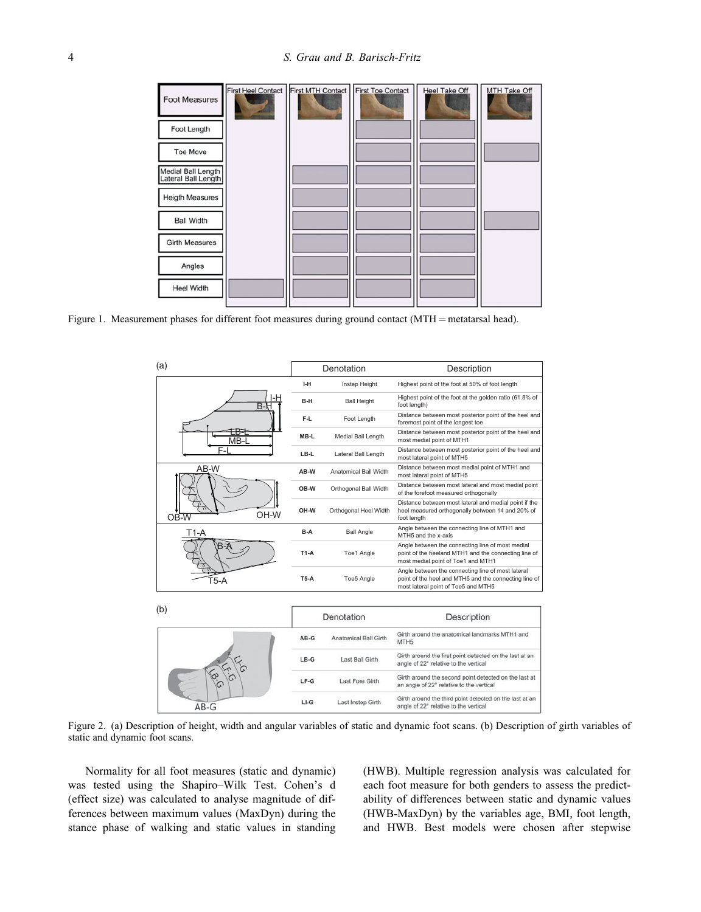<span id="page-4-0"></span>

| <b>Foot Measures</b>                      | First Heel Contact First MTH Contact | <b>First Toe Contact</b> | <b>Heel Take Off</b> | MTH Take Off |
|-------------------------------------------|--------------------------------------|--------------------------|----------------------|--------------|
| Foot Length                               |                                      |                          |                      |              |
| <b>Toe Move</b>                           |                                      |                          |                      |              |
| Medial Ball Length<br>Lateral Ball Length |                                      |                          |                      |              |
| <b>Heigth Measures</b>                    |                                      |                          |                      |              |
| <b>Ball Width</b>                         |                                      |                          |                      |              |
| <b>Girth Measures</b>                     |                                      |                          |                      |              |
| Angles                                    |                                      |                          |                      |              |
| <b>Heel Width</b>                         |                                      |                          |                      |              |

Figure 1. Measurement phases for different foot measures during ground contact (MTH = metatarsal head).

| (a)            | Denotation                    |                              | Description                                                                                                                                       |  |  |
|----------------|-------------------------------|------------------------------|---------------------------------------------------------------------------------------------------------------------------------------------------|--|--|
|                | I-H                           | Instep Height                | Highest point of the foot at 50% of foot length                                                                                                   |  |  |
| $B -$          | B-H                           | <b>Ball Height</b>           | Highest point of the foot at the golden ratio (61.8% of<br>foot length)                                                                           |  |  |
|                | F-L                           | Foot Length                  | Distance between most posterior point of the heel and<br>foremost point of the longest toe                                                        |  |  |
| MB-L           | MB-L                          | Medial Ball Length           | Distance between most posterior point of the heel and<br>most medial point of MTH1                                                                |  |  |
|                | LB-L                          | Lateral Ball Length          | Distance between most posterior point of the heel and<br>most lateral point of MTH5                                                               |  |  |
| AB-W           | AB-W                          | <b>Anatomical Ball Width</b> | Distance between most medial point of MTH1 and<br>most lateral point of MTH5                                                                      |  |  |
|                | OB-W                          | Orthogonal Ball Width        | Distance between most lateral and most medial point<br>of the forefoot measured orthogonally                                                      |  |  |
| OH-W<br>$OB-W$ | OH-W<br>Orthogonal Heel Width |                              | Distance between most lateral and medial point if the<br>heel measured orthogonally between 14 and 20% of<br>foot length                          |  |  |
| T1-A           | B-A                           | <b>Ball Angle</b>            | Angle between the connecting line of MTH1 and<br>MTH5 and the x-axis                                                                              |  |  |
|                | <b>T1-A</b>                   | Toe1 Angle                   | Angle between the connecting line of most medial<br>point of the heeland MTH1 and the connecting line of<br>most medial point of Toe1 and MTH1    |  |  |
| $T5-A$         | $T5-A$                        | Toe5 Angle                   | Angle between the connecting line of most lateral<br>point of the heel and MTH5 and the connecting line of<br>most lateral point of Toe5 and MTH5 |  |  |
|                |                               |                              |                                                                                                                                                   |  |  |
| (b)            |                               | Denotation                   | Description                                                                                                                                       |  |  |
|                | AB-G                          | Anatomical Ball Girth        | Girth around the anatomical landmarks MTH1 and<br>MTH <sub>5</sub>                                                                                |  |  |
|                | $LB-G$                        | Last Ball Girth              | Girth around the first point detected on the last at an<br>angle of 22° relative to the vertical                                                  |  |  |
|                | $LF-G$                        | Last Fore Girth              | Girth around the second point detected on the last at<br>an angle of 22° relative to the vertical                                                 |  |  |
| $AB-G$         | $LI-G$                        | Last Instep Girth            | Girth around the third point detected on the last at an<br>angle of 22° relative to the vertical                                                  |  |  |

Figure 2. (a) Description of height, width and angular variables of static and dynamic foot scans. (b) Description of girth variables of static and dynamic foot scans.

Normality for all foot measures (static and dynamic) was tested using the Shapiro–Wilk Test. Cohen's d (effect size) was calculated to analyse magnitude of differences between maximum values (MaxDyn) during the stance phase of walking and static values in standing (HWB). Multiple regression analysis was calculated for each foot measure for both genders to assess the predictability of differences between static and dynamic values (HWB-MaxDyn) by the variables age, BMI, foot length, and HWB. Best models were chosen after stepwise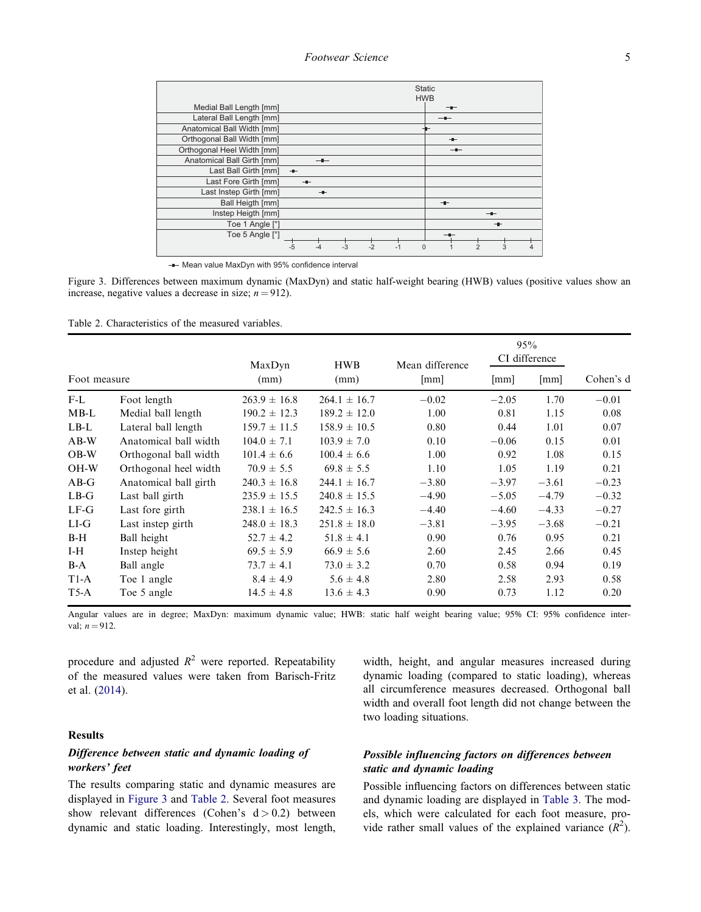|                            |               |               |      |      |      | <b>Static</b><br><b>HWB</b> |               |                |  |
|----------------------------|---------------|---------------|------|------|------|-----------------------------|---------------|----------------|--|
| Medial Ball Length [mm]    |               |               |      |      |      |                             | $-$           |                |  |
| Lateral Ball Length [mm]   |               |               |      |      |      |                             | $-$           |                |  |
| Anatomical Ball Width [mm] |               |               |      |      |      |                             |               |                |  |
| Orthogonal Ball Width [mm] |               |               |      |      |      |                             | $+$           |                |  |
| Orthogonal Heel Width [mm] |               |               |      |      |      |                             | --            |                |  |
| Anatomical Ball Girth [mm] |               |               |      |      |      |                             |               |                |  |
| Last Ball Girth [mm]       | $\rightarrow$ |               |      |      |      |                             |               |                |  |
| Last Fore Girth [mm]       |               |               |      |      |      |                             |               |                |  |
| Last Instep Girth [mm]     |               | $\rightarrow$ |      |      |      |                             |               |                |  |
| Ball Heigth [mm]           |               |               |      |      |      |                             | $\rightarrow$ |                |  |
| Instep Heigth [mm]         |               |               |      |      |      |                             |               | $-$            |  |
| Toe 1 Angle [°]            |               |               |      |      |      |                             |               | $\blacksquare$ |  |
| Toe 5 Angle [°]            |               |               |      |      |      |                             |               |                |  |
|                            | $-5$          |               | $-3$ | $-2$ | $-1$ | $\Omega$                    |               | 3              |  |

-- Mean value MaxDyn with 95% confidence interval

Figure 3. Differences between maximum dynamic (MaxDyn) and static half-weight bearing (HWB) values (positive values show an increase, negative values a decrease in size;  $n = 912$ ).

Table 2. Characteristics of the measured variables.

|              |                       | MaxDyn           | <b>HWB</b>       | Mean difference |         | 95%<br>CI difference |           |
|--------------|-----------------------|------------------|------------------|-----------------|---------|----------------------|-----------|
| Foot measure |                       | (mm)             | (mm)             | [mm]            | [mm]    | [mm]                 | Cohen's d |
| $F-L$        | Foot length           | $263.9 \pm 16.8$ | $264.1 \pm 16.7$ | $-0.02$         | $-2.05$ | 1.70                 | $-0.01$   |
| $MB-L$       | Medial ball length    | $190.2 \pm 12.3$ | $189.2 \pm 12.0$ | 1.00            | 0.81    | 1.15                 | 0.08      |
| $LB-L$       | Lateral ball length   | $159.7 \pm 11.5$ | $158.9 \pm 10.5$ | 0.80            | 0.44    | 1.01                 | 0.07      |
| $AB-W$       | Anatomical ball width | $104.0 \pm 7.1$  | $103.9 \pm 7.0$  | 0.10            | $-0.06$ | 0.15                 | 0.01      |
| $OB-W$       | Orthogonal ball width | $101.4 \pm 6.6$  | $100.4 \pm 6.6$  | 1.00            | 0.92    | 1.08                 | 0.15      |
| $OH-W$       | Orthogonal heel width | $70.9 \pm 5.5$   | $69.8 \pm 5.5$   | 1.10            | 1.05    | 1.19                 | 0.21      |
| $AB-G$       | Anatomical ball girth | $240.3 \pm 16.8$ | $244.1 \pm 16.7$ | $-3.80$         | $-3.97$ | $-3.61$              | $-0.23$   |
| $LB-G$       | Last ball girth       | $235.9 \pm 15.5$ | $240.8 \pm 15.5$ | $-4.90$         | $-5.05$ | $-4.79$              | $-0.32$   |
| $LF-G$       | Last fore girth       | $238.1 \pm 16.5$ | $242.5 \pm 16.3$ | $-4.40$         | $-4.60$ | $-4.33$              | $-0.27$   |
| $LI-G$       | Last instep girth     | $248.0 \pm 18.3$ | $251.8 \pm 18.0$ | $-3.81$         | $-3.95$ | $-3.68$              | $-0.21$   |
| $B-H$        | Ball height           | $52.7 \pm 4.2$   | $51.8 \pm 4.1$   | 0.90            | 0.76    | 0.95                 | 0.21      |
| $I-H$        | Instep height         | $69.5 \pm 5.9$   | $66.9 \pm 5.6$   | 2.60            | 2.45    | 2.66                 | 0.45      |
| $B-A$        | Ball angle            | $73.7 \pm 4.1$   | $73.0 \pm 3.2$   | 0.70            | 0.58    | 0.94                 | 0.19      |
| $T1-A$       | Toe 1 angle           | $8.4 \pm 4.9$    | $5.6 \pm 4.8$    | 2.80            | 2.58    | 2.93                 | 0.58      |
| $T5-A$       | Toe 5 angle           | $14.5 \pm 4.8$   | $13.6 \pm 4.3$   | 0.90            | 0.73    | 1.12                 | 0.20      |

Angular values are in degree; MaxDyn: maximum dynamic value; HWB: static half weight bearing value; 95% CI: 95% confidence interval;  $n = 912$ .

procedure and adjusted  $R^2$  were reported. Repeatability of the measured values were taken from Barisch-Fritz et al. [\(2014\)](#page-7-0).

#### Results

## Difference between static and dynamic loading of workers' feet

The results comparing static and dynamic measures are displayed in Figure 3 and Table 2. Several foot measures show relevant differences (Cohen's  $d > 0.2$ ) between dynamic and static loading. Interestingly, most length, width, height, and angular measures increased during dynamic loading (compared to static loading), whereas all circumference measures decreased. Orthogonal ball width and overall foot length did not change between the two loading situations.

#### Possible influencing factors on differences between static and dynamic loading

Possible influencing factors on differences between static and dynamic loading are displayed in [Table 3.](#page-6-0) The models, which were calculated for each foot measure, provide rather small values of the explained variance  $(R^2)$ .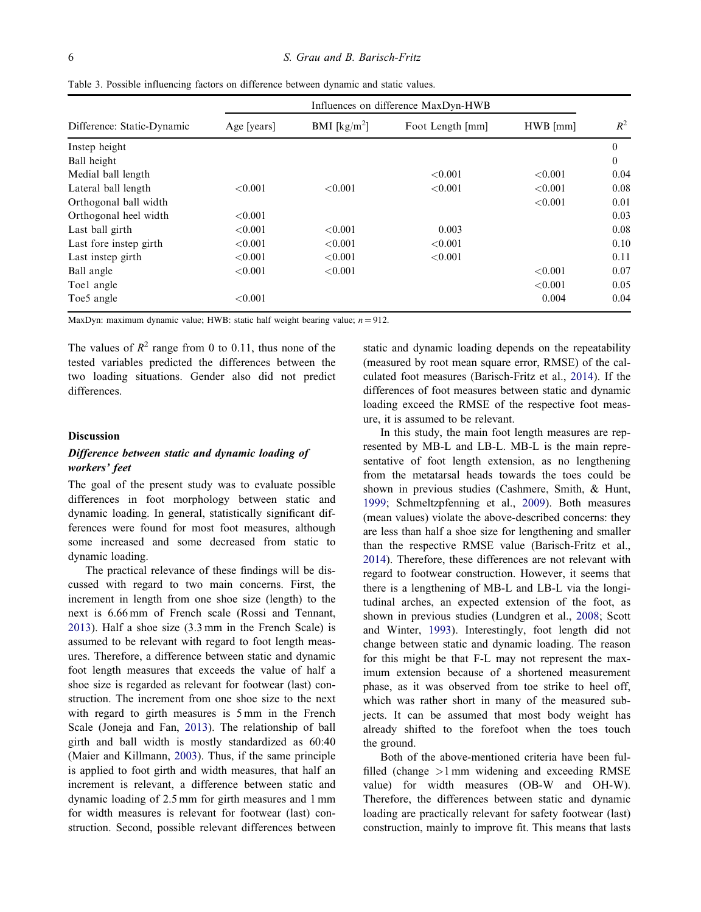|                            | Influences on difference MaxDyn-HWB |                        |                  |            |              |  |  |  |
|----------------------------|-------------------------------------|------------------------|------------------|------------|--------------|--|--|--|
| Difference: Static-Dynamic | Age [years]                         | <b>BMI</b> [ $kg/m2$ ] | Foot Length [mm] | $HWB$ [mm] | $R^2$        |  |  |  |
| Instep height              |                                     |                        |                  |            | $\mathbf{0}$ |  |  |  |
| Ball height                |                                     |                        |                  |            | $\theta$     |  |  |  |
| Medial ball length         |                                     |                        | < 0.001          | < 0.001    | 0.04         |  |  |  |
| Lateral ball length        | < 0.001                             | < 0.001                | < 0.001          | < 0.001    | 0.08         |  |  |  |
| Orthogonal ball width      |                                     |                        |                  | < 0.001    | 0.01         |  |  |  |
| Orthogonal heel width      | < 0.001                             |                        |                  |            | 0.03         |  |  |  |
| Last ball girth            | ${<}0.001$                          | ${<}0.001$             | 0.003            |            | 0.08         |  |  |  |
| Last fore instep girth     | < 0.001                             | ${<}0.001$             | < 0.001          |            | 0.10         |  |  |  |
| Last instep girth          | < 0.001                             | ${<}0.001$             | < 0.001          |            | 0.11         |  |  |  |
| Ball angle                 | < 0.001                             | ${<}0.001$             |                  | < 0.001    | 0.07         |  |  |  |
| Toel angle                 |                                     |                        |                  | < 0.001    | 0.05         |  |  |  |
| Toe5 angle                 | < 0.001                             |                        |                  | 0.004      | 0.04         |  |  |  |

<span id="page-6-0"></span>Table 3. Possible influencing factors on difference between dynamic and static values.

MaxDyn: maximum dynamic value; HWB: static half weight bearing value;  $n = 912$ .

The values of  $R^2$  range from 0 to 0.11, thus none of the tested variables predicted the differences between the two loading situations. Gender also did not predict differences.

#### Discussion

#### Difference between static and dynamic loading of workers' feet

The goal of the present study was to evaluate possible differences in foot morphology between static and dynamic loading. In general, statistically significant differences were found for most foot measures, although some increased and some decreased from static to dynamic loading.

The practical relevance of these findings will be discussed with regard to two main concerns. First, the increment in length from one shoe size (length) to the next is 6.66 mm of French scale (Rossi and Tennant, [2013](#page-8-0)). Half a shoe size (3.3 mm in the French Scale) is assumed to be relevant with regard to foot length measures. Therefore, a difference between static and dynamic foot length measures that exceeds the value of half a shoe size is regarded as relevant for footwear (last) construction. The increment from one shoe size to the next with regard to girth measures is 5 mm in the French Scale (Joneja and Fan, [2013\)](#page-8-0). The relationship of ball girth and ball width is mostly standardized as 60:40 (Maier and Killmann, [2003\)](#page-8-0). Thus, if the same principle is applied to foot girth and width measures, that half an increment is relevant, a difference between static and dynamic loading of 2.5 mm for girth measures and 1 mm for width measures is relevant for footwear (last) construction. Second, possible relevant differences between

static and dynamic loading depends on the repeatability (measured by root mean square error, RMSE) of the calculated foot measures (Barisch-Fritz et al., [2014](#page-7-0)). If the differences of foot measures between static and dynamic loading exceed the RMSE of the respective foot measure, it is assumed to be relevant.

In this study, the main foot length measures are represented by MB-L and LB-L. MB-L is the main representative of foot length extension, as no lengthening from the metatarsal heads towards the toes could be shown in previous studies (Cashmere, Smith, & Hunt, [1999;](#page-7-0) Schmeltzpfenning et al., [2009](#page-8-0)). Both measures (mean values) violate the above-described concerns: they are less than half a shoe size for lengthening and smaller than the respective RMSE value (Barisch-Fritz et al., [2014\)](#page-7-0). Therefore, these differences are not relevant with regard to footwear construction. However, it seems that there is a lengthening of MB-L and LB-L via the longitudinal arches, an expected extension of the foot, as shown in previous studies (Lundgren et al., [2008](#page-8-0); Scott and Winter, [1993\)](#page-8-0). Interestingly, foot length did not change between static and dynamic loading. The reason for this might be that F-L may not represent the maximum extension because of a shortened measurement phase, as it was observed from toe strike to heel off, which was rather short in many of the measured subjects. It can be assumed that most body weight has already shifted to the forefoot when the toes touch the ground.

Both of the above-mentioned criteria have been fulfilled (change  $>1$  mm widening and exceeding RMSE value) for width measures (OB-W and OH-W). Therefore, the differences between static and dynamic loading are practically relevant for safety footwear (last) construction, mainly to improve fit. This means that lasts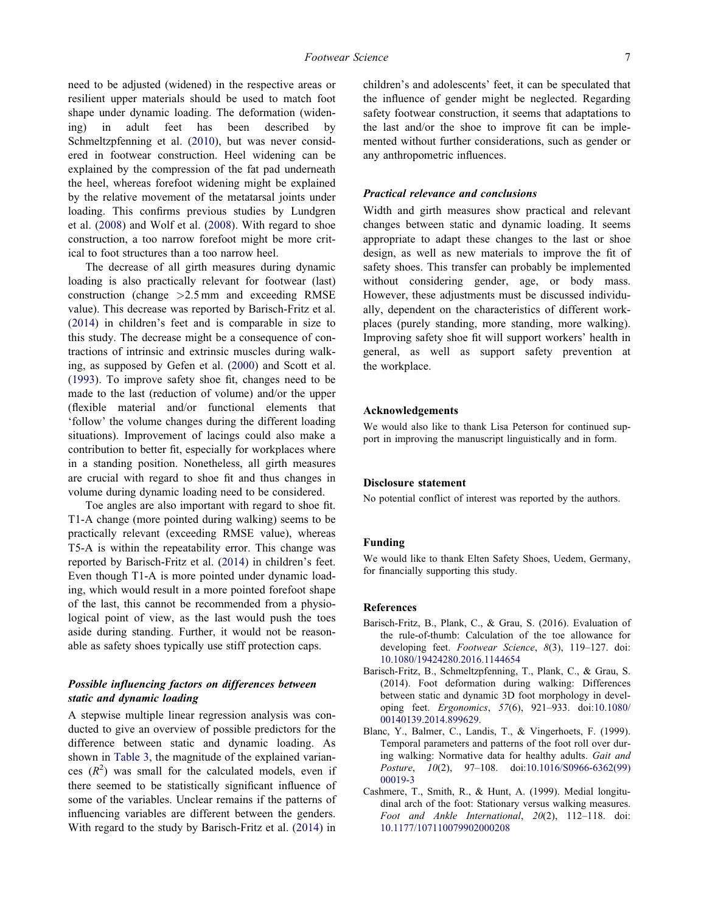<span id="page-7-0"></span>need to be adjusted (widened) in the respective areas or resilient upper materials should be used to match foot shape under dynamic loading. The deformation (widening) in adult feet has been described by Schmeltzpfenning et al. ([2010\)](#page-8-0), but was never considered in footwear construction. Heel widening can be explained by the compression of the fat pad underneath the heel, whereas forefoot widening might be explained by the relative movement of the metatarsal joints under loading. This confirms previous studies by Lundgren et al. [\(2008](#page-8-0)) and Wolf et al. [\(2008](#page-9-0)). With regard to shoe construction, a too narrow forefoot might be more critical to foot structures than a too narrow heel.

The decrease of all girth measures during dynamic loading is also practically relevant for footwear (last) construction (change  $>2.5$  mm and exceeding RMSE value). This decrease was reported by Barisch-Fritz et al. (2014) in children's feet and is comparable in size to this study. The decrease might be a consequence of contractions of intrinsic and extrinsic muscles during walking, as supposed by Gefen et al. [\(2000](#page-8-0)) and Scott et al. ([1993\)](#page-8-0). To improve safety shoe fit, changes need to be made to the last (reduction of volume) and/or the upper (flexible material and/or functional elements that 'follow' the volume changes during the different loading situations). Improvement of lacings could also make a contribution to better fit, especially for workplaces where in a standing position. Nonetheless, all girth measures are crucial with regard to shoe fit and thus changes in volume during dynamic loading need to be considered.

Toe angles are also important with regard to shoe fit. T1-A change (more pointed during walking) seems to be practically relevant (exceeding RMSE value), whereas T5-A is within the repeatability error. This change was reported by Barisch-Fritz et al. (2014) in children's feet. Even though T1-A is more pointed under dynamic loading, which would result in a more pointed forefoot shape of the last, this cannot be recommended from a physiological point of view, as the last would push the toes aside during standing. Further, it would not be reasonable as safety shoes typically use stiff protection caps.

## Possible influencing factors on differences between static and dynamic loading

A stepwise multiple linear regression analysis was conducted to give an overview of possible predictors for the difference between static and dynamic loading. As shown in [Table 3,](#page-6-0) the magnitude of the explained variances  $(R^2)$  was small for the calculated models, even if there seemed to be statistically significant influence of some of the variables. Unclear remains if the patterns of influencing variables are different between the genders. With regard to the study by Barisch-Fritz et al. (2014) in

children's and adolescents' feet, it can be speculated that the influence of gender might be neglected. Regarding safety footwear construction, it seems that adaptations to the last and/or the shoe to improve fit can be implemented without further considerations, such as gender or any anthropometric influences.

#### Practical relevance and conclusions

Width and girth measures show practical and relevant changes between static and dynamic loading. It seems appropriate to adapt these changes to the last or shoe design, as well as new materials to improve the fit of safety shoes. This transfer can probably be implemented without considering gender, age, or body mass. However, these adjustments must be discussed individually, dependent on the characteristics of different workplaces (purely standing, more standing, more walking). Improving safety shoe fit will support workers' health in general, as well as support safety prevention at the workplace.

#### Acknowledgements

We would also like to thank Lisa Peterson for continued support in improving the manuscript linguistically and in form.

#### Disclosure statement

No potential conflict of interest was reported by the authors.

#### Funding

We would like to thank Elten Safety Shoes, Uedem, Germany, for financially supporting this study.

### References

- Barisch-Fritz, B., Plank, C., & Grau, S. ([2016\)](#page-2-0). Evaluation of the rule-of-thumb: Calculation of the toe allowance for developing feet. Footwear Science, 8(3), 119-127. doi: [10.1080/19424280.2016.1144654](https://doi.org/10.1080/19424280.2016.1144654)
- Barisch-Fritz, B., Schmeltzpfenning, T., Plank, C., & Grau, S. ([2014\)](#page-2-0). Foot deformation during walking: Differences between static and dynamic 3D foot morphology in developing feet. Ergonomics, 57(6), 921–933. doi:[10.1080/](https://doi.org/10.1080/00140139.2014.899629) [00140139.2014.899629](https://doi.org/10.1080/00140139.2014.899629).
- Blanc, Y., Balmer, C., Landis, T., & Vingerhoets, F. [\(1999](#page-3-0)). Temporal parameters and patterns of the foot roll over during walking: Normative data for healthy adults. Gait and Posture, 10(2), 97-108. doi:[10.1016/S0966-6362\(99\)](https://doi.org/10.1016/S0966-6362(99)00019-3) [00019-3](https://doi.org/10.1016/S0966-6362(99)00019-3)
- Cashmere, T., Smith, R., & Hunt, A. ([1999\)](#page-6-0). Medial longitudinal arch of the foot: Stationary versus walking measures. Foot and Ankle International, 20(2), 112–118. doi: [10.1177/107110079902000208](https://doi.org/10.1177/107110079902000208)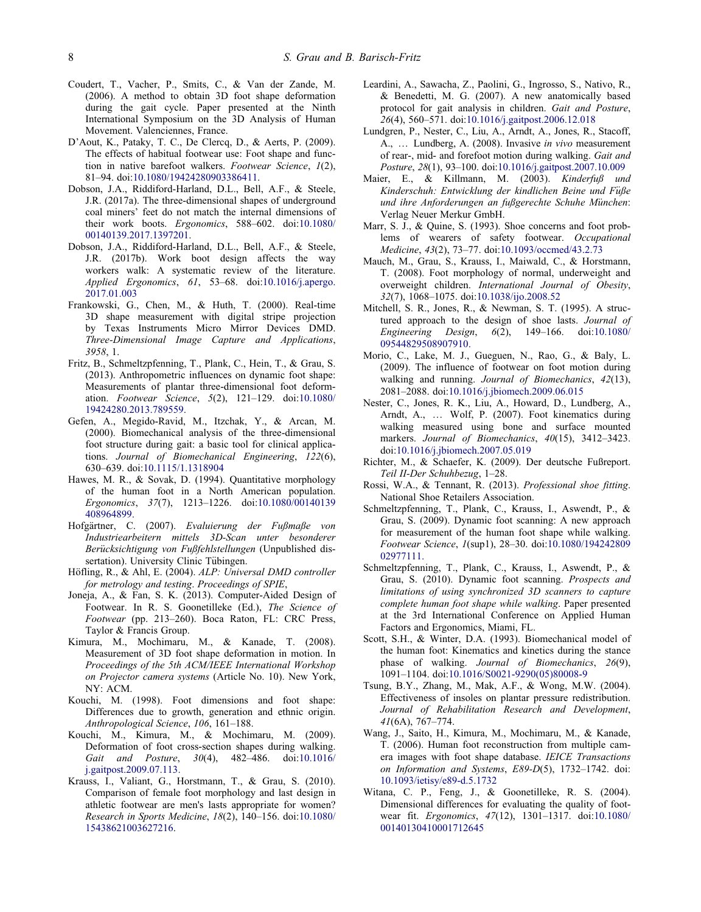- <span id="page-8-0"></span>Coudert, T., Vacher, P., Smits, C., & Van der Zande, M. [\(2006](#page-2-0)). A method to obtain 3D foot shape deformation during the gait cycle. Paper presented at the Ninth International Symposium on the 3D Analysis of Human Movement. Valenciennes, France.
- D'Aout, K., Pataky, T. C., De Clercq, D., & Aerts, P. ([2009\)](#page-2-0). The effects of habitual footwear use: Foot shape and function in native barefoot walkers. Footwear Science, 1(2), 81–94. doi:[10.1080/19424280903386411.](https://doi.org/10.1080/19424280903386411)
- Dobson, J.A., Riddiford-Harland, D.L., Bell, A.F., & Steele, J.R. [\(2017a](#page-1-0)). The three-dimensional shapes of underground coal miners' feet do not match the internal dimensions of their work boots. Ergonomics, 588–602. doi[:10.1080/](https://doi.org/10.1080/00140139.2017.1397201) [00140139.2017.1397201](https://doi.org/10.1080/00140139.2017.1397201).
- Dobson, J.A., Riddiford-Harland, D.L., Bell, A.F., & Steele, J.R. [\(2017b\)](#page-1-0). Work boot design affects the way workers walk: A systematic review of the literature. Applied Ergonomics, 61, 53–68. doi:[10.1016/j.apergo.](https://doi.org/10.1016/j.apergo.2017.01.003) [2017.01.003](https://doi.org/10.1016/j.apergo.2017.01.003)
- Frankowski, G., Chen, M., & Huth, T. [\(2000](#page-3-0)). Real-time 3D shape measurement with digital stripe projection by Texas Instruments Micro Mirror Devices DMD. Three-Dimensional Image Capture and Applications, 3958, 1.
- Fritz, B., Schmeltzpfenning, T., Plank, C., Hein, T., & Grau, S. [\(2013](#page-2-0)). Anthropometric influences on dynamic foot shape: Measurements of plantar three-dimensional foot deformation. Footwear Science, 5(2), 121–129. doi[:10.1080/](https://doi.org/10.1080/19424280.2013.789559.) [19424280.2013.789559.](https://doi.org/10.1080/19424280.2013.789559.)
- Gefen, A., Megido-Ravid, M., Itzchak, Y., & Arcan, M. [\(2000](#page-7-0)). Biomechanical analysis of the three-dimensional foot structure during gait: a basic tool for clinical applications. Journal of Biomechanical Engineering, 122(6), 630–639. doi:[10.1115/1.1318904](https://doi.org/10.1115/1.1318904)
- Hawes, M. R., & Sovak, D. ([1994\)](#page-2-0). Quantitative morphology of the human foot in a North American population. Ergonomics, 37(7), 1213–1226. doi[:10.1080/00140139](https://doi.org/10.1080/00140139408964899.) [408964899.](https://doi.org/10.1080/00140139408964899.)
- Hofgärtner, C. ([2007\)](#page-1-0). Evaluierung der Fußmaße von Industriearbeitern mittels 3D-Scan unter besonderer Berücksichtigung von Fußfehlstellungen (Unpublished dissertation). University Clinic Tübingen.
- Höfling, R., & Ahl, E. ([2004\)](#page-3-0). ALP: Universal DMD controller for metrology and testing. Proceedings of SPIE,
- Joneja, A., & Fan, S. K. [\(2013](#page-6-0)). Computer-Aided Design of Footwear. In R. S. Goonetilleke (Ed.), The Science of Footwear (pp. 213–260). Boca Raton, FL: CRC Press, Taylor & Francis Group.
- Kimura, M., Mochimaru, M., & Kanade, T. ([2008\)](#page-2-0). Measurement of 3D foot shape deformation in motion. In Proceedings of the 5th ACM/IEEE International Workshop on Projector camera systems (Article No. 10). New York, NY: ACM.
- Kouchi, M. [\(1998](#page-1-0)). Foot dimensions and foot shape: Differences due to growth, generation and ethnic origin. Anthropological Science, 106, 161–188.
- Kouchi, M., Kimura, M., & Mochimaru, M. ([2009\)](#page-2-0). Deformation of foot cross-section shapes during walking. Gait and Posture, 30(4), 482–486. doi[:10.1016/](https://doi.org/10.1016/j.gaitpost.2009.07.113.) [j.gaitpost.2009.07.113.](https://doi.org/10.1016/j.gaitpost.2009.07.113.)
- Krauss, I., Valiant, G., Horstmann, T., & Grau, S. ([2010\)](#page-2-0). Comparison of female foot morphology and last design in athletic footwear are men's lasts appropriate for women? Research in Sports Medicine, 18(2), 140–156. doi[:10.1080/](https://doi.org/10.1080/15438621003627216) [15438621003627216.](https://doi.org/10.1080/15438621003627216)
- Leardini, A., Sawacha, Z., Paolini, G., Ingrosso, S., Nativo, R., & Benedetti, M. G. ([2007\)](#page-2-0). A new anatomically based protocol for gait analysis in children. Gait and Posture, 26(4), 560–571. doi:[10.1016/j.gaitpost.2006.12.018](https://doi.org/10.1016/j.gaitpost.2006.12.018)
- Lundgren, P., Nester, C., Liu, A., Arndt, A., Jones, R., Stacoff, A., … Lundberg, A. [\(2008\)](#page-2-0). Invasive in vivo measurement of rear-, mid- and forefoot motion during walking. Gait and Posture, 28(1), 93–100. doi:[10.1016/j.gaitpost.2007.10.009](https://doi.org/10.1016/j.gaitpost.2007.10.009)
- Maier, E., & Killmann, M. [\(2003](#page-6-0)). Kinderfuß und Kinderschuh: Entwicklung der kindlichen Beine und Füße und ihre Anforderungen an fußgerechte Schuhe München: Verlag Neuer Merkur GmbH.
- Marr, S. J., & Quine, S. [\(1993](#page-1-0)). Shoe concerns and foot problems of wearers of safety footwear. Occupational Medicine, 43(2), 73–77. doi[:10.1093/occmed/43.2.73](https://doi.org/10.1093/occmed/43.2.73)
- Mauch, M., Grau, S., Krauss, I., Maiwald, C., & Horstmann, T. ([2008\)](#page-2-0). Foot morphology of normal, underweight and overweight children. International Journal of Obesity, 32(7), 1068–1075. doi:[10.1038/ijo.2008.52](https://doi.org/10.1038/ijo.2008.52)
- Mitchell, S. R., Jones, R., & Newman, S. T. [\(1995](#page-3-0)). A structured approach to the design of shoe lasts. Journal of Engineering Design, 6(2), 149–166. doi:[10.1080/](https://doi.org/10.1080/09544829508907910.) [09544829508907910.](https://doi.org/10.1080/09544829508907910.)
- Morio, C., Lake, M. J., Gueguen, N., Rao, G., & Baly, L. ([2009\)](#page-2-0). The influence of footwear on foot motion during walking and running. Journal of Biomechanics, 42(13), 2081–2088. doi[:10.1016/j.jbiomech.2009.06.015](https://doi.org/10.1016/j.jbiomech.2009.06.015)
- Nester, C., Jones, R. K., Liu, A., Howard, D., Lundberg, A., Arndt, A., … Wolf, P. ([2007\)](#page-2-0). Foot kinematics during walking measured using bone and surface mounted markers. Journal of Biomechanics, 40(15), 3412-3423. doi:[10.1016/j.jbiomech.2007.05.019](https://doi.org/10.1016/j.jbiomech.2007.05.019)
- Richter, M., & Schaefer, K. [\(2009](#page-1-0)). Der deutsche Fußreport. Teil II-Der Schuhbezug, 1–28.
- Rossi, W.A., & Tennant, R. [\(2013](#page-6-0)). Professional shoe fitting. National Shoe Retailers Association.
- Schmeltzpfenning, T., Plank, C., Krauss, I., Aswendt, P., & Grau, S. [\(2009](#page-2-0)). Dynamic foot scanning: A new approach for measurement of the human foot shape while walking. Footwear Science, 1(sup1), 28–30. doi[:10.1080/194242809](https://doi.org/10.1080/19424280902977111.) [02977111.](https://doi.org/10.1080/19424280902977111.)
- Schmeltzpfenning, T., Plank, C., Krauss, I., Aswendt, P., & Grau, S. ([2010\)](#page-3-0). Dynamic foot scanning. Prospects and limitations of using synchronized 3D scanners to capture complete human foot shape while walking. Paper presented at the 3rd International Conference on Applied Human Factors and Ergonomics, Miami, FL.
- Scott, S.H., & Winter, D.A. [\(1993](#page-6-0)). Biomechanical model of the human foot: Kinematics and kinetics during the stance phase of walking. *Journal of Biomechanics*, 26(9), 1091–1104. doi[:10.1016/S0021-9290\(05\)80008-9](https://doi.org/10.1016/S0021-9290(05)80008-9)
- Tsung, B.Y., Zhang, M., Mak, A.F., & Wong, M.W. [\(2004](#page-2-0)). Effectiveness of insoles on plantar pressure redistribution. Journal of Rehabilitation Research and Development, 41(6A), 767–774.
- Wang, J., Saito, H., Kimura, M., Mochimaru, M., & Kanade, T. [\(2006](#page-2-0)). Human foot reconstruction from multiple camera images with foot shape database. IEICE Transactions on Information and Systems, E89-D(5), 1732–1742. doi: [10.1093/ietisy/e89-d.5.1732](https://doi.org/10.1093/ietisy/e89-d.5.1732)
- Witana, C. P., Feng, J., & Goonetilleke, R. S. [\(2004](#page-1-0)). Dimensional differences for evaluating the quality of footwear fit. Ergonomics, 47(12), 1301–1317. doi:[10.1080/](https://doi.org/10.1080/00140130410001712645) [00140130410001712645](https://doi.org/10.1080/00140130410001712645)